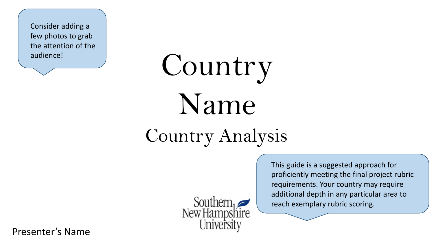Consider adding a few photos to grab the attention of the audience!

# Country Name

# Country Analysis

Southern<br>New Hampshire

This guide is a suggested approach for proficiently meeting the final project rubric requirements. Your country may require additional depth in any particular area to reach exemplary rubric scoring.

Presenter's Name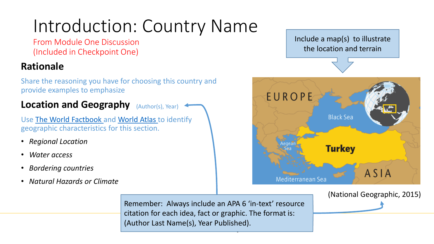### Introduction: Country Name

From Module One Discussion (Included in Checkpoint One)

### **Rationale**

Share the reasoning you have for choosing this country and provide examples to emphasize

**Location and Geography** (Author(s), Year)

Use [The World Factbook](https://www.cia.gov/library/publications/the-world-factbook/) and [World Atlas](http://www.worldatlas.com/) to identify geographic characteristics for this section.

- *Regional Location*
- *Water access*
- *Bordering countries*
- *Natural Hazards or Climate*

Include a map(s) to illustrate the location and terrain



(National Geographic, 2015)

Remember: Always include an APA 6 'in-text' resource citation for each idea, fact or graphic. The format is: (Author Last Name(s), Year Published).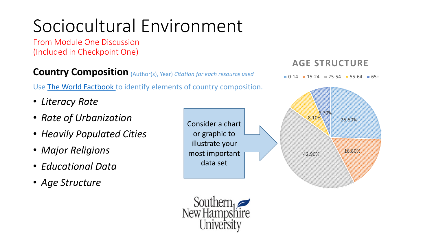# Sociocultural Environment

From Module One Discussion (Included in Checkpoint One)

**Country Composition**  (Author(s), Year) *Citation for each resource used*

Use [The World Factbook t](https://www.cia.gov/library/publications/the-world-factbook/)o identify elements of country composition.

- *Literacy Rate*
- *Rate of Urbanization*
- *Heavily Populated Cities*
- *Major Religions*
- *Educational Data*
- *Age Structure*





### **AGE STRUCTURE**

 $\blacksquare$  0-14  $\blacksquare$  15-24  $\blacksquare$  25-54  $\blacksquare$  55-64  $\blacksquare$  65+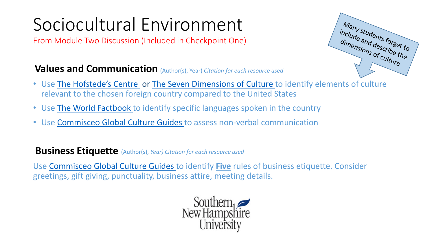# Sociocultural Environment

From Module Two Discussion (Included in Checkpoint One)



### **Values and Communication**  (Author(s), Year) *Citation for each resource used*

- Use [The Hofstede's Centre](https://www.hofstede-insights.com/product/compare-countries/) or [The Seven Dimensions of Culture t](http://www.mindtools.com/pages/article/seven-dimensions.htm)o identify elements of culture relevant to the chosen foreign country compared to the United States
- Use [The World Factbook](https://www.cia.gov/library/publications/the-world-factbook/) to identify specific languages spoken in the country
- Use Commisceo [Global Culture Guides](http://www.commisceo-global.com/country-guides) to assess non-verbal communication

**Business Etiquette** (Author(s), *Year) Citation for each resource used*

Use Commisceo [Global Culture Guides](http://www.commisceo-global.com/country-guides) to identify **Five** rules of business etiquette. Consider greetings, gift giving, punctuality, business attire, meeting details.

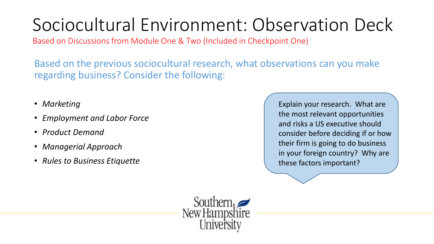# Sociocultural Environment: Observation Deck

Based on Discussions from Module One & Two (Included in Checkpoint One)

Based on the previous sociocultural research, what observations can you make regarding business? Consider the following:

- *Marketing*
- *Employment and Labor Force*
- *Product Demand*
- *Managerial Approach*
- *Rules to Business Etiquette*

Explain your research. What are the most relevant opportunities and risks a US executive should consider before deciding if or how their firm is going to do business in your foreign country? Why are these factors important?

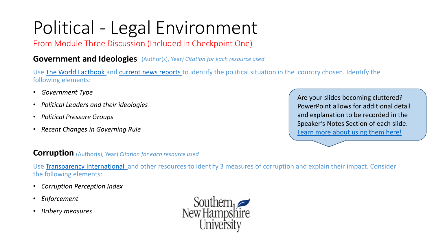# Political - Legal Environment

From Module Three Discussion (Included in Checkpoint One)

**Government and Ideologies** (Author(s), Year*) Citation for each resource used*

Use [The World Factbook](https://www.cia.gov/library/publications/the-world-factbook/) and [current news reports](http://www.ucdenver.edu/academics/InternationalPrograms/CIBER/GlobalResources/Pages/BusinessNewsbyCountry.aspx) to identify the political situation in the country chosen. Identify the following elements:

- *Government Type*
- *Political Leaders and their ideologies*
- *Political Pressure Groups*
- *Recent Changes in Governing Rule*

Are your slides becoming cluttered? PowerPoint allows for additional detail and explanation to be recorded in the Speaker's Notes Section of each slide. [Learn more about using them here!](https://support.office.com/en-us/article/Add-speaker-notes-to-your-slides-26985155-35f5-45ba-812b-e1bd3c48928e?ui=en-US&rs=en-US&ad=US)

#### **Corruption** (Author(s), Year) *Citation for each resource used*

Use [Transparency International](http://www.transparency.org/research/) and other resources to identify 3 measures of corruption and explain their impact. Consider the following elements:

- *Corruption Perception Index*
- *Enforcement*
- *Bribery measures*

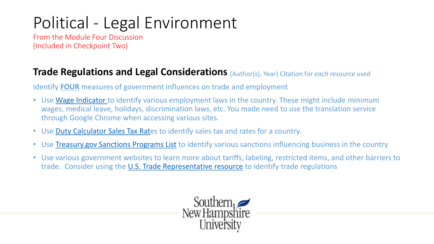### Political - Legal Environment

From the Module Four Discussion (Included in Checkpoint Two)

### **Trade Regulations and Legal Considerations** (Author(s), Year) Citation f*or each resource used*

Identify **FOUR** measures of government influences on trade and employment

- Use [Wage Indicator t](http://www.wageindicator.org/main/labour-laws/labour-law-around-the-world)o identify various employment laws in the country. These might include minimum wages, medical leave, holidays, discrimination laws, etc. You made need to use the translation service through Google Chrome when accessing various sites.
- Use [Duty Calculator Sales Tax Rat](http://www.dutycalculator.com/sales_tax_rates_by_country/)es to identify sales tax and rates for a country.
- Use [Treasury.gov Sanctions Programs List](http://www.treasury.gov/resource-center/sanctions/Programs/Pages/Programs.aspx) to identify various sanctions influencing business in the country
- Use various government websites to learn more about tariffs, labeling, restricted items, and other barriers to trade. Consider using the [U.S. Trade Representative resource](https://ustr.gov/countries-regions) to identify trade regulations

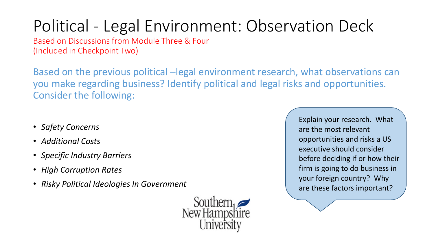### Political - Legal Environment: Observation Deck

Based on Discussions from Module Three & Four (Included in Checkpoint Two)

Based on the previous political –legal environment research, what observations can you make regarding business? Identify political and legal risks and opportunities. Consider the following:

- *Safety Concerns*
- *Additional Costs*
- *Specific Industry Barriers*
- *High Corruption Rates*
- *Risky Political Ideologies In Government*



Explain your research. What are the most relevant opportunities and risks a US executive should consider before deciding if or how their firm is going to do business in your foreign country? Why are these factors important?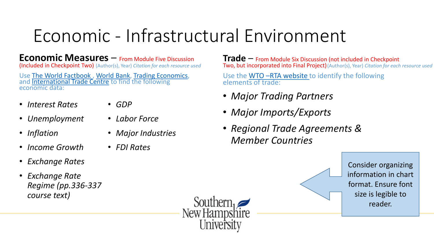### Economic - Infrastructural Environment

**Economic Measures** – From Module Five Discussion

(Included in Checkpoint Two) (Author(s), Year) Citation for each resource used

Use The World Factbook, [World Bank,](http://data.worldbank.org/) [Trading Economics](http://www.tradingeconomics.com/), and **[International Trade Centre](http://www.intracen.org/itc/market-info-tools/statistics-inward-country-industry/)** to find the following economic data:

• *Interest Rates*

- *GDP*
- *Unemployment*
- *Inflation*
- *Income Growth*
- *Exchange Rates*
- *Exchange Rate Regime (pp.336-337 course text)*
- *Labor Force*
- *Major Industries*
- *FDI Rates*

**Trade** – From Module Six Discussion (not included in Checkpoint (Author(s), Year) *Citation for each resource used* **Two, but incorporated into Final Project)** (Author(s), Year) *Citation for each resource used* 

> Use the WTO –[RTA website](https://www.wto.org/english/tratop_e/region_e/rta_participation_map_e.htm) to identify the following elements of trade:

- *Major Trading Partners*
- *Major Imports/Exports*
- *Regional Trade Agreements & Member Countries*

Consider organizing information in chart format. Ensure font size is legible to reader.

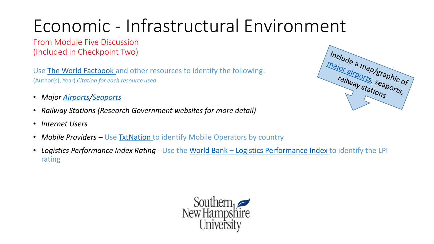# Economic - Infrastructural Environment

From Module Five Discussion (Included in Checkpoint Two)

Use [The World Factbook](https://www.cia.gov/library/publications/the-world-factbook/) and other resources to identify the following: (Author(s), Year) *Citation for each resource used*

- *Major [Airports/](http://www.worldaerodata.com/countries/)[Seaports](http://www.worldportsource.com/countries.php)*
- *Railway Stations (Research Government websites for more detail)*
- *Internet Users*
- *Mobile Providers* Use **[TxtNation](https://clients.txtnation.com/entries/301118-All-Countries-List-Of-Mobile-Operators-By-Country-slow-loading-)** to identify Mobile Operators by country
- *Logistics Performance Index Rating -* Use the World Bank [Logistics Performance Index t](http://lpi.worldbank.org/international/global)o identify the LPI rating



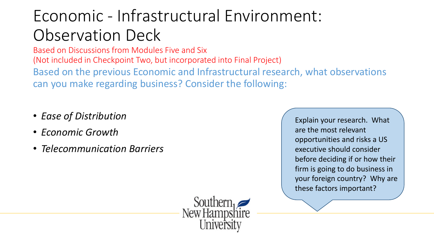### Economic - Infrastructural Environment: Observation Deck

Based on Discussions from Modules Five and Six (Not included in Checkpoint Two, but incorporated into Final Project) Based on the previous Economic and Infrastructural research, what observations can you make regarding business? Consider the following:

- *Ease of Distribution*
- *Economic Growth*
- *Telecommunication Barriers*

Explain your research. What are the most relevant opportunities and risks a US executive should consider before deciding if or how their firm is going to do business in your foreign country? Why are these factors important?

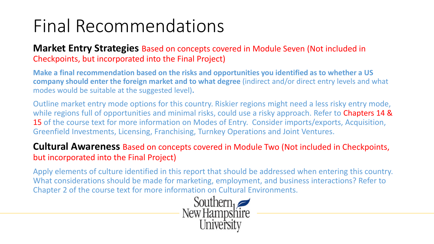### Final Recommendations

#### **Market Entry Strategies** Based on concepts covered in Module Seven (Not included in Checkpoints, but incorporated into the Final Project)

**Make a final recommendation based on the risks and opportunities you identified as to whether a US company should enter the foreign market and to what degree** (indirect and/or direct entry levels and what modes would be suitable at the suggested level)**.** 

Outline market entry mode options for this country. Riskier regions might need a less risky entry mode, while regions full of opportunities and minimal risks, could use a risky approach. Refer to Chapters 14 & 15 of the course text for more information on Modes of Entry. Consider imports/exports, Acquisition, Greenfield Investments, Licensing, Franchising, Turnkey Operations and Joint Ventures.

#### **Cultural Awareness** Based on concepts covered in Module Two (Not included in Checkpoints, but incorporated into the Final Project)

Apply elements of culture identified in this report that should be addressed when entering this country. What considerations should be made for marketing, employment, and business interactions? Refer to Chapter 2 of the course text for more information on Cultural Environments.